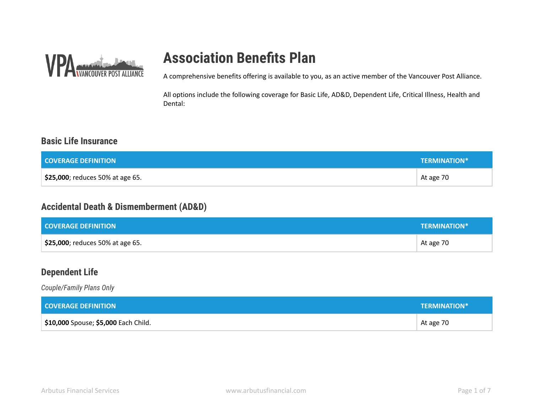

## **Association Benefits Plan**

A comprehensive benefits offering is available to you, as an active member of the Vancouver Post Alliance.

All options include the following coverage for Basic Life, AD&D, Dependent Life, Critical Illness, Health and Dental:

### **Basic Life Insurance**

| <b>COVERAGE DEFINITION</b>       | <b>TERMINATION*</b> |
|----------------------------------|---------------------|
| \$25,000; reduces 50% at age 65. | At age 70           |

### **Accidental Death & Dismemberment (AD&D)**

| <b>COVERAGE DEFINITION</b>       | <b>TERMINATION*</b> |
|----------------------------------|---------------------|
| \$25,000; reduces 50% at age 65. | At age 70           |

### **Dependent Life**

*Couple/Family Plans Only*

| <b>COVERAGE DEFINITION</b>                  | <b>TERMINATION*</b> |
|---------------------------------------------|---------------------|
| <b>\$10,000</b> Spouse; \$5,000 Each Child. | At age 70           |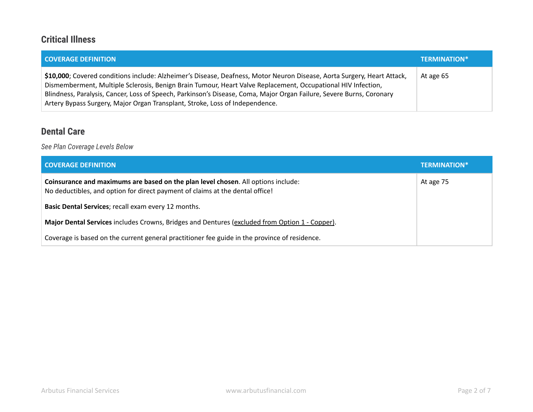### **Critical Illness**

| <b>COVERAGE DEFINITION</b>                                                                                                                                                                                                                                                                                                                                                                                                                      | <b>TERMINATION*</b> |
|-------------------------------------------------------------------------------------------------------------------------------------------------------------------------------------------------------------------------------------------------------------------------------------------------------------------------------------------------------------------------------------------------------------------------------------------------|---------------------|
| \$10,000; Covered conditions include: Alzheimer's Disease, Deafness, Motor Neuron Disease, Aorta Surgery, Heart Attack,<br>Dismemberment, Multiple Sclerosis, Benign Brain Tumour, Heart Valve Replacement, Occupational HIV Infection,<br>Blindness, Paralysis, Cancer, Loss of Speech, Parkinson's Disease, Coma, Major Organ Failure, Severe Burns, Coronary<br>Artery Bypass Surgery, Major Organ Transplant, Stroke, Loss of Independence. | At age 65           |

### **Dental Care**

*See Plan Coverage Levels Below*

| <b>COVERAGE DEFINITION</b>                                                                                                                                         | <b>TERMINATION*</b> |
|--------------------------------------------------------------------------------------------------------------------------------------------------------------------|---------------------|
| Coinsurance and maximums are based on the plan level chosen. All options include:<br>No deductibles, and option for direct payment of claims at the dental office! | At age 75           |
| Basic Dental Services; recall exam every 12 months.                                                                                                                |                     |
| Major Dental Services includes Crowns, Bridges and Dentures (excluded from Option 1 - Copper).                                                                     |                     |
| Coverage is based on the current general practitioner fee guide in the province of residence.                                                                      |                     |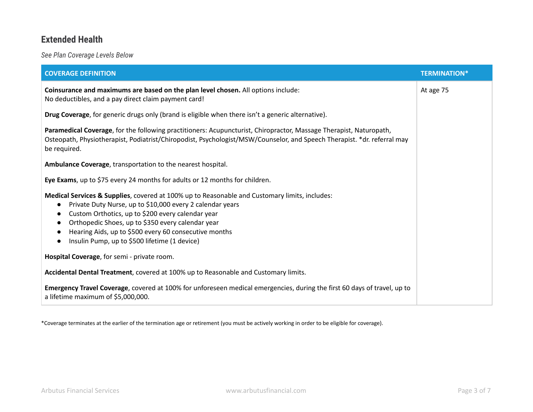### **Extended Health**

*See Plan Coverage Levels Below*

| <b>COVERAGE DEFINITION</b>                                                                                                                                                                                                                                                                                                                                                                                                         | <b>TERMINATION*</b> |
|------------------------------------------------------------------------------------------------------------------------------------------------------------------------------------------------------------------------------------------------------------------------------------------------------------------------------------------------------------------------------------------------------------------------------------|---------------------|
| Coinsurance and maximums are based on the plan level chosen. All options include:<br>No deductibles, and a pay direct claim payment card!                                                                                                                                                                                                                                                                                          | At age 75           |
| Drug Coverage, for generic drugs only (brand is eligible when there isn't a generic alternative).                                                                                                                                                                                                                                                                                                                                  |                     |
| Paramedical Coverage, for the following practitioners: Acupuncturist, Chiropractor, Massage Therapist, Naturopath,<br>Osteopath, Physiotherapist, Podiatrist/Chiropodist, Psychologist/MSW/Counselor, and Speech Therapist. *dr. referral may<br>be required.                                                                                                                                                                      |                     |
| Ambulance Coverage, transportation to the nearest hospital.                                                                                                                                                                                                                                                                                                                                                                        |                     |
| Eye Exams, up to \$75 every 24 months for adults or 12 months for children.                                                                                                                                                                                                                                                                                                                                                        |                     |
| Medical Services & Supplies, covered at 100% up to Reasonable and Customary limits, includes:<br>Private Duty Nurse, up to \$10,000 every 2 calendar years<br>$\bullet$<br>Custom Orthotics, up to \$200 every calendar year<br>$\bullet$<br>Orthopedic Shoes, up to \$350 every calendar year<br>$\bullet$<br>Hearing Aids, up to \$500 every 60 consecutive months<br>Insulin Pump, up to \$500 lifetime (1 device)<br>$\bullet$ |                     |
| Hospital Coverage, for semi - private room.                                                                                                                                                                                                                                                                                                                                                                                        |                     |
| Accidental Dental Treatment, covered at 100% up to Reasonable and Customary limits.                                                                                                                                                                                                                                                                                                                                                |                     |
| Emergency Travel Coverage, covered at 100% for unforeseen medical emergencies, during the first 60 days of travel, up to<br>a lifetime maximum of \$5,000,000.                                                                                                                                                                                                                                                                     |                     |

\*Coverage terminates at the earlier of the termination age or retirement (you must be actively working in order to be eligible for coverage).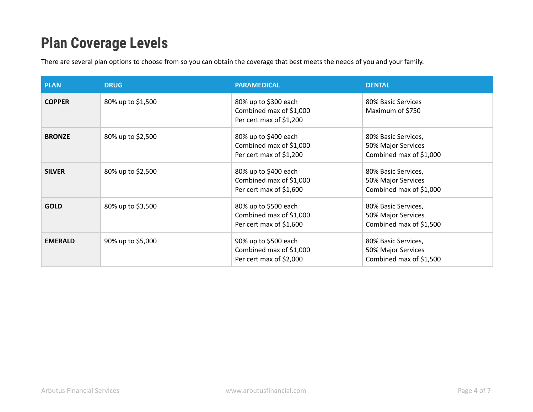## **Plan Coverage Levels**

There are several plan options to choose from so you can obtain the coverage that best meets the needs of you and your family.

| <b>PLAN</b>    | <b>DRUG</b>       | <b>PARAMEDICAL</b>                                                         | <b>DENTAL</b>                                                        |
|----------------|-------------------|----------------------------------------------------------------------------|----------------------------------------------------------------------|
| <b>COPPER</b>  | 80% up to \$1,500 | 80% up to \$300 each<br>Combined max of \$1,000<br>Per cert max of \$1,200 | 80% Basic Services<br>Maximum of \$750                               |
| <b>BRONZE</b>  | 80% up to \$2,500 | 80% up to \$400 each<br>Combined max of \$1,000<br>Per cert max of \$1,200 | 80% Basic Services,<br>50% Major Services<br>Combined max of \$1,000 |
| <b>SILVER</b>  | 80% up to \$2,500 | 80% up to \$400 each<br>Combined max of \$1,000<br>Per cert max of \$1,600 | 80% Basic Services,<br>50% Major Services<br>Combined max of \$1,000 |
| <b>GOLD</b>    | 80% up to \$3,500 | 80% up to \$500 each<br>Combined max of \$1,000<br>Per cert max of \$1,600 | 80% Basic Services,<br>50% Major Services<br>Combined max of \$1,500 |
| <b>EMERALD</b> | 90% up to \$5,000 | 90% up to \$500 each<br>Combined max of \$1,000<br>Per cert max of \$2,000 | 80% Basic Services,<br>50% Major Services<br>Combined max of \$1,500 |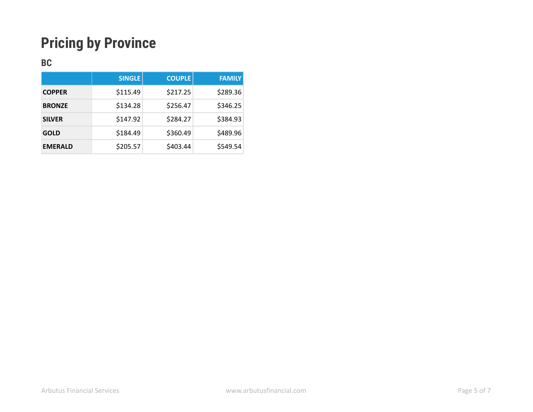# **Pricing by Province**

### **BC**

|                | <b>SINGLE</b> | <b>COUPLE</b> | <b>FAMILY</b> |
|----------------|---------------|---------------|---------------|
| <b>COPPER</b>  | \$115.49      | \$217.25      | \$289.36      |
| <b>BRONZE</b>  | \$134.28      | \$256.47      | \$346.25      |
| <b>SILVER</b>  | \$147.92      | \$284.27      | \$384.93      |
| <b>GOLD</b>    | \$184.49      | \$360.49      | \$489.96      |
| <b>EMERALD</b> | \$205.57      | \$403.44      | \$549.54      |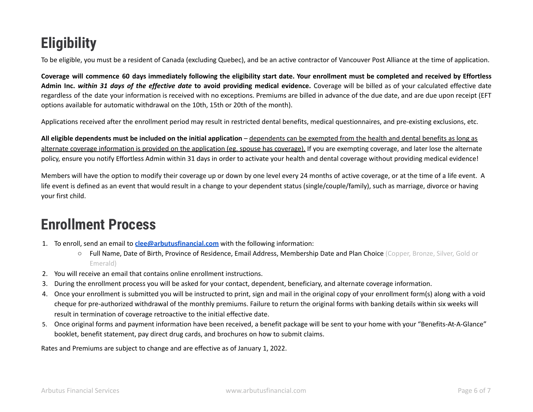# **Eligibility**

To be eligible, you must be a resident of Canada (excluding Quebec), and be an active contractor of Vancouver Post Alliance at the time of application.

Coverage will commence 60 days immediately following the eligibility start date. Your enrollment must be completed and received by Effortless Admin Inc. within 31 days of the effective date to avoid providing medical evidence. Coverage will be billed as of your calculated effective date regardless of the date your information is received with no exceptions. Premiums are billed in advance of the due date, and are due upon receipt (EFT options available for automatic withdrawal on the 10th, 15th or 20th of the month).

Applications received after the enrollment period may result in restricted dental benefits, medical questionnaires, and pre-existing exclusions, etc.

**All eligible dependents must be included on the initial application** – dependents can be exempted from the health and dental benefits as long as alternate coverage information is provided on the application (eg. spouse has coverage). If you are exempting coverage, and later lose the alternate policy, ensure you notify Effortless Admin within 31 days in order to activate your health and dental coverage without providing medical evidence!

Members will have the option to modify their coverage up or down by one level every 24 months of active coverage, or at the time of a life event. A life event is defined as an event that would result in a change to your dependent status (single/couple/family), such as marriage, divorce or having your first child.

## **Enrollment Process**

- 1. To enroll, send an email to **[clee@arbutusfinancial.com](mailto:clee@arbutusfinancial.com)** with the following information:
	- Full Name, Date of Birth, Province of Residence, Email Address, Membership Date and Plan Choice (Copper, Bronze, Silver, Gold or Emerald)
- 2. You will receive an email that contains online enrollment instructions.
- 3. During the enrollment process you will be asked for your contact, dependent, beneficiary, and alternate coverage information.
- 4. Once your enrollment is submitted you will be instructed to print, sign and mail in the original copy of your enrollment form(s) along with a void cheque for pre-authorized withdrawal of the monthly premiums. Failure to return the original forms with banking details within six weeks will result in termination of coverage retroactive to the initial effective date.
- 5. Once original forms and payment information have been received, a benefit package will be sent to your home with your "Benefits-At-A-Glance" booklet, benefit statement, pay direct drug cards, and brochures on how to submit claims.

Rates and Premiums are subject to change and are effective as of January 1, 2022.